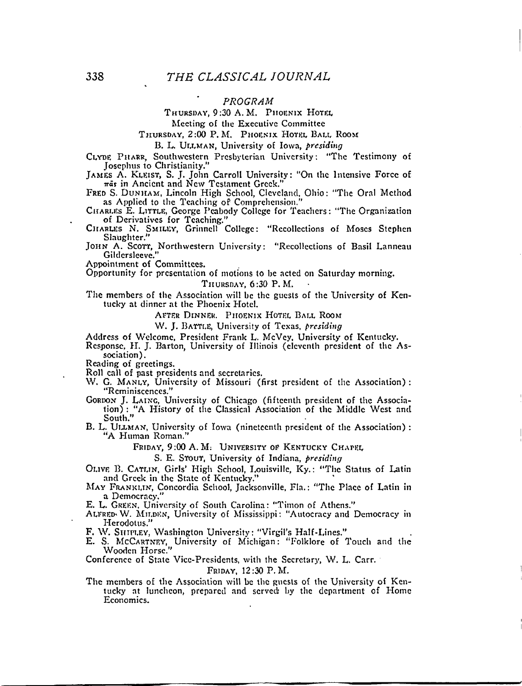# *PROGRAM*

# THURSDAY, 9:30 A.M. PHOENIX HOTEL

Meeting of the Executive Committee

THURSDAY, 2:00 P.M. PHOENIX HOTEL BALL ROOM

B. *L.* ULLMAN, University of Iowa, *presiding* 

CLYDE PHARR, Southwestern Presbyterian University: "The Testimony of Josephus to Christianity."

JAMES A. KLEIST, S. J. John Carroll University: "On the Intensive Force of *irat* in Ancient and New Testament Greek,"

FRED S. DUNHAM, Lincoln High School, Cleveland, Ohio: "The Oral Method as Applied to the Teaching of Comprehension."

CHARLES E. LITTLE, George Peabody College for Teachers: "The Organization of Derivatives for Teaching."

CHARLES N. SMILEY, Grinnell College: "Recollections of Moses Stephen Slaughter."

JOHN A. Scorr, Northwestern University: "Recollections of Basil Lanneati Gildcrsleeve."

Appointment of Committees.

Opportunity for presentation of motions to be acted on Saturday morning.

THURSDAY, 6:30 P.M.

The members of the Association will be the guests of the University of Kentucky at dinner at the Phoenix Hotel.

AFTER DINNER. PHOENIX HOTEL BALL ROOM

W. J. BATTLE, University of Texas, *presiding* 

Address of Welcome, President Frank L. McVey, University of Kentucky.

Response, H. J. Barton, University of Illinois (eleventh president of the Association).

Reading of greetings.

Roll call of past presidents and secretaries.

- W. G. MANLY, University of Missouri (first president of the Association) : "Reminiscences."
- GORDON J. LAING, University of Chicago (fifteenth president of the Association) : "A History of the Classical Association of the Middle West and South."
- B. L. ULLMAN, University of Iowa (nineteenth president of the Association) : "A Human Roman."

FRIDAY, 9:00 A. M. UNIVERSITY OF KENTUCKY CHAPEL

S. E. STOUT, University of Indiana, *presiding* 

OLIVE B. CATLIN, Girls' High School, Louisville, Ky.: "The Status of Latin and Greek in the State of Kentucky."

MAY FRANKLIN, Concordia School, Jacksonville, Fla.: "The Place of Latin in a Democracy."

E. L. GREEN, University of South Carolina: "Timon of Athens."

ALFRED\* W. MILDKN, University of Mississippi: "Autocracy and Democracy in Herodotus."

F. W. SHIPLEY, Washington University: "Virgil's Half-Lines."

E. S. MCCARTNEY, University of Michigan: "Folklore of Touch and the Wooden Horse."

Conference of State Vice-Presidents, with the Secretary, W. L. Carr.

FRIDAY, 12:30 P.M.

The members of the Association will be the guests of the University of Kentucky at luncheon, prepared and served by the department of Home Economics.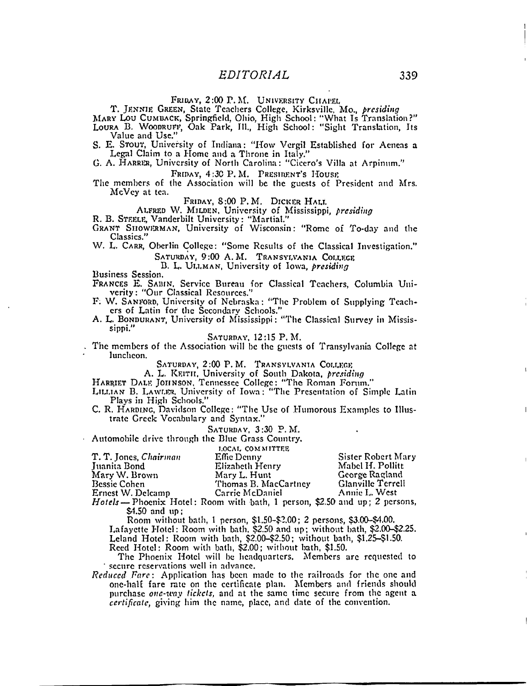PRIDAY, 2:00 P.M. UNIVERSITY CHAPEL

T. JENNIE GREEN, State Teachers College. Kirksvillc, Mo., *presiding* 

MARY Lou CUMUACK, Springfield, Ohio, High School: "What Is Translation?" LOURA B. WOODRUFF, Oak Park, 111., High School: "Sight Translation, Its Value and Use."

S. E. STOUT, University of Indiana: "How Vergil Established for Aeneas a Legal Claim to a Home and a Throne in Italy."

G. A. HARREH, University of North Carolina: "Cicero's Villa at Arpinum."

FRIDAY, 4:30 P.M. PRESIDENT'S HOUSE

The members of the Association will be the guests of President and Mrs. McVcy at tea.

FRIDAY, 8:00 P.M. DICKER HALT.

ALFRED W. MILDEN, University of Mississippi, *presiding* 

R. B. STEELE, Vanderbilt University: "Martial."

GRANT SIIOWERMAN, University of Wisconsin: "Rome of To-day and the Classics."

W. L. CARR, Oberlin College: "Some Results of the Classical Investigation." SATURDAY, 9:00 A.M. TRANSYLVANIA COLLEGE

B. L. ULLMAN, University of Iowa, *presiding* 

Business Session.

FRANCES E. SABIN, Service Bureau for Classical Teachers, Columbia Univerity: "Our Classical Resources."

F. W. SANFORD, University of Nebraska: "The Problem of Supplying Teachers of Latin for the Secondary Schools."

A. L. BONDURANT, University of Mississippi: "The Classical Survey in Mississippi."

SATURDAY, 12:15 P.M.

The members of the Association will be the guests of Transylvania College at luncheon.

SATURDAY, 2:00 P.M. TRANSYLVANIA COLLEGE

A. L. KEITH, University of South Dakota, *presiding* 

HARRIET DALE JOHNSON, Tennessee College: "The Roman Forum."

LILLIAN B. LAWLBR, University of Iowa: "The Presentation of Simple Latin Plays in High Schools."

C. R. HARDING, Davidson College: "The Use of Humorous Examples to Illustrate Greek Vocabulary and Syntax."

SATURDAY,  $3:30$  P.M.

Automobile drive through the Blue Grass Country.

|                       | LOCAL COMMITTEE                                                              |                    |
|-----------------------|------------------------------------------------------------------------------|--------------------|
| T. T. Jones, Chairman | Effic Denny                                                                  | Sister Robert Mary |
| Juanita Bond          | Elizabeth Henry                                                              | Mabel H. Pollitt   |
| Mary W. Brown         | Mary L. Hunt                                                                 | George Ragland     |
| <b>Bessie Cohen</b>   | Thomas B. MacCartney                                                         | Glanville Terrell  |
| Ernest W. Delcamp     | Carrie McDaniel                                                              | Annie L. West      |
|                       | $Hotsels = 2$ becomes Hotel: Room with bath 1 person $250$ and up: 2 persons |                    |

I: Room with bath, 1 person, \$2.50 and up; 2 persons, \$4.50 and up;

Room without bath, 1 person, \$1.50-^2.00; 2 persons, \$3.00-44.00.

Lafayette Hotel: Room with bath, \$2.50 and up; without bath. \$2.00-\$2.25. Leland Hotel: Room with bath, \$2.00-\$2.50; without bath, \$1.25—\$1-50.

Reed Hotel: Room with bath, \$2.00; without bath, \$1.50.

The Phoenix Hotel will be headquarters. Members arc requested to secure reservations well in advance.

*Reduced Pare:* Application has been made to the railroads for the one and one-half fare rate on the certificate plan. Members and friends should purchase *one-way tickets,* and at the same time secure from the agent a *certificate,* giving him the name, place, and date of the convention.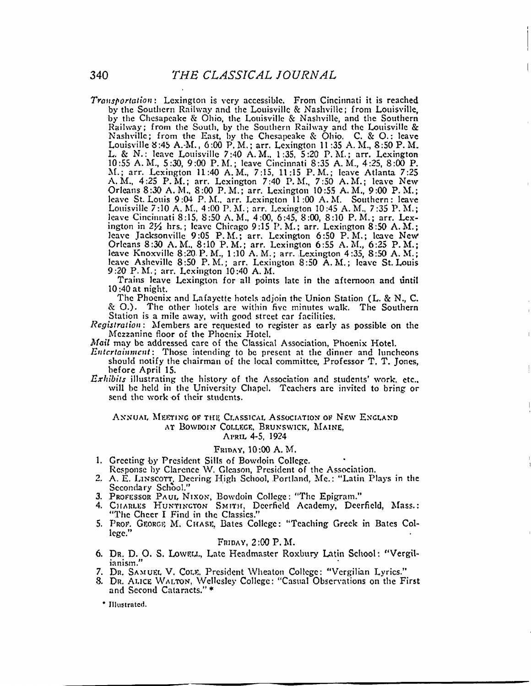*Transportation*: Lexington is very accessible. From Cincinnati it is reached by the Southern Railway and the Louisville & Nashville; from Louisville, by the Chesapeake & Ohio, the Louisville & Nashville, and the Southern Railway; from the South, by the Southern Railway and the Louisville & Nashville; from the East, by the Chesapeake & Ohio. C. & O.: leave Louisville 8:45 A.-M., 6:00 P. M.; arr. Lexington 11:35 A. M., 8:50 P. M. L. & N.: leave Louisville 7:40 A.M., 1:35, 5:20 P.M. ; arr. Lexington 10:55 A.M., 5:30, 9:00 P.M. ; leave Cincinnati 8:35 A. M., 4:25, 8:00 P. M.; arr. Lexington 11:40 A.M., 7:15, 11:15 P.M. ; leave Atlanta 7:25 A.M., 4:25 P.M.; arr. Lexington 7:40 P.M., 7:50 A.M.; leave New Orleans 8:30 A. M., 8:00 P. M.; arr. Lexington 10:55 A. M., 9:00 P. M.; leave St. Louis 9:04 P.M., arr. Lexington 11:00 A.M. Southern: leave Louisville 7:10 A. M., 4:00 P. M.; arr. Lexington 10:45 A. M., 7 :35 P. M.; leave Cincinnati 8:15, 8:50 A.M., 4:00, 6:45, 8:00, 8:10 P.M. ; arr. Lexington in  $2\frac{1}{2}$  hrs.; leave Chicago 9:15 P.M.; arr. Lexington 8:50 A.M.; leave Jacksonville 9:05 P.M.; arr. Lexington 6:50 P.M.; leave New Orleans 8:30 A.M., 8:10 P.M.; arr. Lexington 6:55 A.M., 6:25 P.M.; leave Knoxvillc 8:20 P. M., 1:10 A. M.; arr. Lexington 4:35, 8:50 A. M.; leave Asheville 8:50 P.M.: arr. Lexington 8:50 A.M.: leave St. Louis 9:20 P.M. ; arr. Lexington 10:40 A.M.

Trains leave Lexington for all points late in the afternoon and until 10:40 at night.

The Phoenix and Lafayette hotels adjoin the Union Station (L. & N., C. & O.). The other hotels are within five minutes walk. The Southern Station is a mile away, with good street car facilities.

*Registration:* Members arc requested to register as early as possible on the Mezzanine floor of the Phoenix Hotel.

*Mail* may be addressed care of the Classical Association, Phoenix Hotel.

- *Entertainment:* Those intending to be present at the dinner and luncheons should notify the chairman of the local committee, Professor T. T. Jones, before April 15.
- *Exhibits* illustrating the history of the Association and students' work. etc.. will be held in the University Chapel. Teachers arc invited to bring or send the work of their students.

#### ANNUAL MEETING OF THE CLASSICAL ASSOCIATION OF NEW ENGLAND AT BOWDOIN COLLEGE, BRUNSWICK, MAINE,

APRIL 4-5, 1924

### FRIDAY, 10:00 A.M.

- 1. Greeting by President Sills of Bowdoin College.
- Response by Clarence W. Glcason, President of the Association.
- 2. A. E. LINSCOTT, Decring High School, Portland, Me.: "Latin Plays in the Secondary School."
- 3. PROFESSOR PAUL NIXON, Bowdoin College: "The Epigram."
- 4. CHARLES HUNTINGTON SMITH, Dcerfield Academy, Deerficld. Mass.: "The Cheer I Find in the Classics."
- 5. PROF. GEORGE M. CHASE. Bates College: "Teaching Greek in Bates College."

## FRIDAY, 2:00 P.M.

- 6. DR. D. O. S. LOWELL, Late Headmaster Roxbury Latin School: "Vergilianism."
- DR. SAMUEL V. COLE. President Wheaton College: "Vergilian Lyrics."
- 8. DR. ALICE WALTON, Wellesley College: "Casual Observations on the First and Second Cataracts." \*

\* Illustrated.